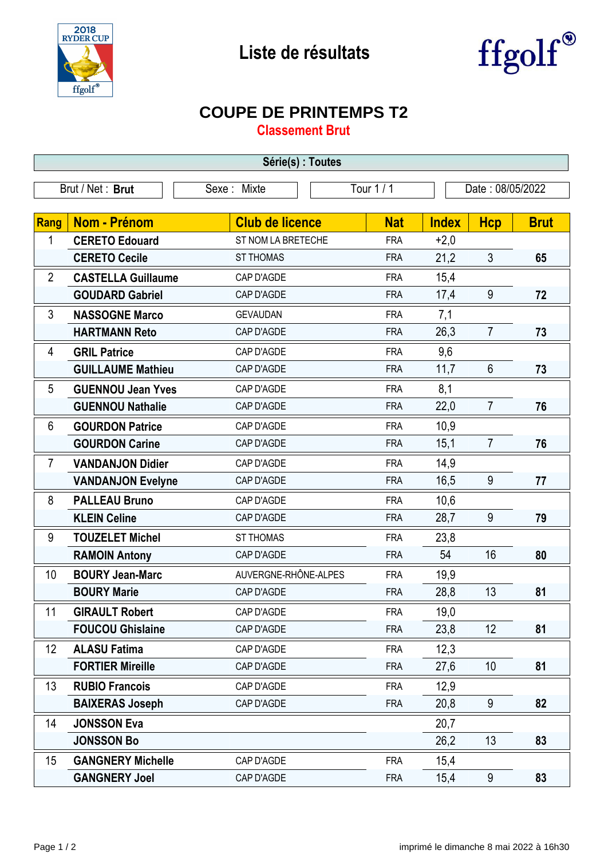



## **COUPE DE PRINTEMPS T2**

**Classement Brut**

| Série(s) : Toutes |                                 |                        |            |                  |                |             |  |  |  |  |
|-------------------|---------------------------------|------------------------|------------|------------------|----------------|-------------|--|--|--|--|
|                   | Brut / Net: Brut<br>Sexe: Mixte |                        | Tour 1/1   | Date: 08/05/2022 |                |             |  |  |  |  |
|                   |                                 |                        |            |                  |                |             |  |  |  |  |
| Rang              | <b>Nom - Prénom</b>             | <b>Club de licence</b> | <b>Nat</b> | <b>Index</b>     | <b>Hcp</b>     | <b>Brut</b> |  |  |  |  |
| 1                 | <b>CERETO Edouard</b>           | ST NOM LA BRETECHE     | <b>FRA</b> | $+2,0$           |                |             |  |  |  |  |
|                   | <b>CERETO Cecile</b>            | <b>ST THOMAS</b>       | <b>FRA</b> | 21,2             | $\mathfrak{Z}$ | 65          |  |  |  |  |
| $\overline{2}$    | <b>CASTELLA Guillaume</b>       | CAP D'AGDE             | <b>FRA</b> | 15,4             |                |             |  |  |  |  |
|                   | <b>GOUDARD Gabriel</b>          | CAP D'AGDE             | <b>FRA</b> | 17,4             | 9              | 72          |  |  |  |  |
| 3                 | <b>NASSOGNE Marco</b>           | <b>GEVAUDAN</b>        | <b>FRA</b> | 7,1              |                |             |  |  |  |  |
|                   | <b>HARTMANN Reto</b>            | CAP D'AGDE             | <b>FRA</b> | 26,3             | $\overline{7}$ | 73          |  |  |  |  |
| 4                 | <b>GRIL Patrice</b>             | CAP D'AGDE             | <b>FRA</b> | 9,6              |                |             |  |  |  |  |
|                   | <b>GUILLAUME Mathieu</b>        | CAP D'AGDE             | <b>FRA</b> | 11,7             | $6\phantom{1}$ | 73          |  |  |  |  |
| 5                 | <b>GUENNOU Jean Yves</b>        | CAP D'AGDE             | <b>FRA</b> | 8,1              |                |             |  |  |  |  |
|                   | <b>GUENNOU Nathalie</b>         | CAP D'AGDE             | <b>FRA</b> | 22,0             | $\overline{7}$ | 76          |  |  |  |  |
| 6                 | <b>GOURDON Patrice</b>          | CAP D'AGDE             | <b>FRA</b> | 10,9             |                |             |  |  |  |  |
|                   | <b>GOURDON Carine</b>           | CAP D'AGDE             | <b>FRA</b> | 15,1             | $\overline{7}$ | 76          |  |  |  |  |
| $\overline{7}$    | <b>VANDANJON Didier</b>         | CAP D'AGDE             | <b>FRA</b> | 14,9             |                |             |  |  |  |  |
|                   | <b>VANDANJON Evelyne</b>        | CAP D'AGDE             | <b>FRA</b> | 16,5             | 9              | 77          |  |  |  |  |
| 8                 | <b>PALLEAU Bruno</b>            | CAP D'AGDE             | <b>FRA</b> | 10,6             |                |             |  |  |  |  |
|                   | <b>KLEIN Celine</b>             | CAP D'AGDE             | <b>FRA</b> | 28,7             | 9              | 79          |  |  |  |  |
| 9                 | <b>TOUZELET Michel</b>          | <b>ST THOMAS</b>       | <b>FRA</b> | 23,8             |                |             |  |  |  |  |
|                   | <b>RAMOIN Antony</b>            | CAP D'AGDE             | <b>FRA</b> | 54               | 16             | 80          |  |  |  |  |
| 10                | <b>BOURY Jean-Marc</b>          | AUVERGNE-RHÔNE-ALPES   | <b>FRA</b> | 19,9             |                |             |  |  |  |  |
|                   | <b>BOURY Marie</b>              | CAP D'AGDE             | <b>FRA</b> | 28,8             | 13             | 81          |  |  |  |  |
| 11                | <b>GIRAULT Robert</b>           | CAP D'AGDE             | <b>FRA</b> | 19,0             |                |             |  |  |  |  |
|                   | <b>FOUCOU Ghislaine</b>         | CAP D'AGDE             | <b>FRA</b> | 23,8             | 12             | 81          |  |  |  |  |
| 12                | <b>ALASU Fatima</b>             | CAP D'AGDE             | <b>FRA</b> | 12,3             |                |             |  |  |  |  |
|                   | <b>FORTIER Mireille</b>         | CAP D'AGDE             | <b>FRA</b> | 27,6             | 10             | 81          |  |  |  |  |
| 13                | <b>RUBIO Francois</b>           | CAP D'AGDE             | <b>FRA</b> | 12,9             |                |             |  |  |  |  |
|                   | <b>BAIXERAS Joseph</b>          | CAP D'AGDE             | <b>FRA</b> | 20,8             | 9              | 82          |  |  |  |  |
| 14                | <b>JONSSON Eva</b>              |                        |            | 20,7             |                |             |  |  |  |  |
|                   | <b>JONSSON Bo</b>               |                        |            | 26,2             | 13             | 83          |  |  |  |  |
| 15                | <b>GANGNERY Michelle</b>        | CAP D'AGDE             | <b>FRA</b> | 15,4             |                |             |  |  |  |  |
|                   | <b>GANGNERY Joel</b>            | CAP D'AGDE             | <b>FRA</b> | 15,4             | 9              | 83          |  |  |  |  |